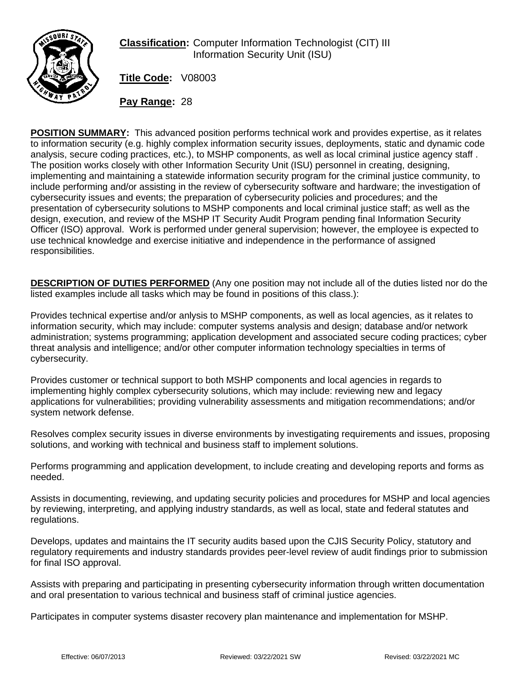

**Classification:** Computer Information Technologist (CIT) III Information Security Unit (ISU)

**Title Code:** V08003

**Pay Range:** 28

**POSITION SUMMARY:** This advanced position performs technical work and provides expertise, as it relates to information security (e.g. highly complex information security issues, deployments, static and dynamic code analysis, secure coding practices, etc.), to MSHP components, as well as local criminal justice agency staff . The position works closely with other Information Security Unit (ISU) personnel in creating, designing, implementing and maintaining a statewide information security program for the criminal justice community, to include performing and/or assisting in the review of cybersecurity software and hardware; the investigation of cybersecurity issues and events; the preparation of cybersecurity policies and procedures; and the presentation of cybersecurity solutions to MSHP components and local criminal justice staff; as well as the design, execution, and review of the MSHP IT Security Audit Program pending final Information Security Officer (ISO) approval. Work is performed under general supervision; however, the employee is expected to use technical knowledge and exercise initiative and independence in the performance of assigned responsibilities.

**DESCRIPTION OF DUTIES PERFORMED** (Any one position may not include all of the duties listed nor do the listed examples include all tasks which may be found in positions of this class.):

Provides technical expertise and/or anlysis to MSHP components, as well as local agencies, as it relates to information security, which may include: computer systems analysis and design; database and/or network administration; systems programming; application development and associated secure coding practices; cyber threat analysis and intelligence; and/or other computer information technology specialties in terms of cybersecurity.

Provides customer or technical support to both MSHP components and local agencies in regards to implementing highly complex cybersecurity solutions, which may include: reviewing new and legacy applications for vulnerabilities; providing vulnerability assessments and mitigation recommendations; and/or system network defense.

Resolves complex security issues in diverse environments by investigating requirements and issues, proposing solutions, and working with technical and business staff to implement solutions.

Performs programming and application development, to include creating and developing reports and forms as needed.

Assists in documenting, reviewing, and updating security policies and procedures for MSHP and local agencies by reviewing, interpreting, and applying industry standards, as well as local, state and federal statutes and regulations.

Develops, updates and maintains the IT security audits based upon the CJIS Security Policy, statutory and regulatory requirements and industry standards provides peer-level review of audit findings prior to submission for final ISO approval.

Assists with preparing and participating in presenting cybersecurity information through written documentation and oral presentation to various technical and business staff of criminal justice agencies.

Participates in computer systems disaster recovery plan maintenance and implementation for MSHP.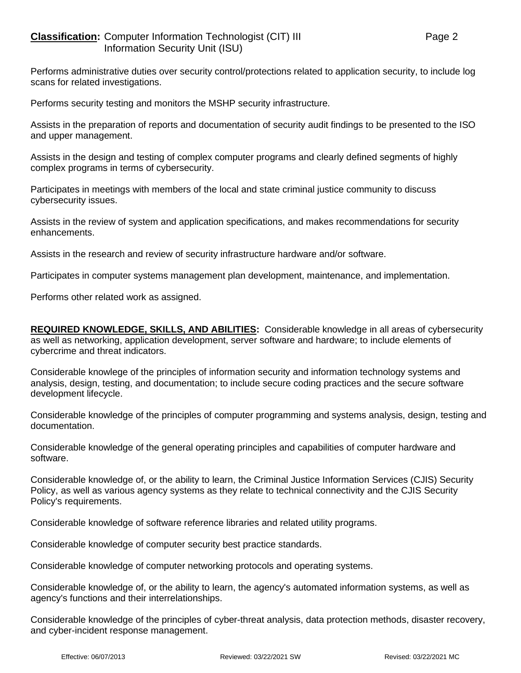Performs administrative duties over security control/protections related to application security, to include log scans for related investigations.

Performs security testing and monitors the MSHP security infrastructure.

Assists in the preparation of reports and documentation of security audit findings to be presented to the ISO and upper management.

Assists in the design and testing of complex computer programs and clearly defined segments of highly complex programs in terms of cybersecurity.

Participates in meetings with members of the local and state criminal justice community to discuss cybersecurity issues.

Assists in the review of system and application specifications, and makes recommendations for security enhancements.

Assists in the research and review of security infrastructure hardware and/or software.

Participates in computer systems management plan development, maintenance, and implementation.

Performs other related work as assigned.

**REQUIRED KNOWLEDGE, SKILLS, AND ABILITIES:** Considerable knowledge in all areas of cybersecurity as well as networking, application development, server software and hardware; to include elements of cybercrime and threat indicators.

Considerable knowlege of the principles of information security and information technology systems and analysis, design, testing, and documentation; to include secure coding practices and the secure software development lifecycle.

Considerable knowledge of the principles of computer programming and systems analysis, design, testing and documentation.

Considerable knowledge of the general operating principles and capabilities of computer hardware and software.

Considerable knowledge of, or the ability to learn, the Criminal Justice Information Services (CJIS) Security Policy, as well as various agency systems as they relate to technical connectivity and the CJIS Security Policy's requirements.

Considerable knowledge of software reference libraries and related utility programs.

Considerable knowledge of computer security best practice standards.

Considerable knowledge of computer networking protocols and operating systems.

Considerable knowledge of, or the ability to learn, the agency's automated information systems, as well as agency's functions and their interrelationships.

Considerable knowledge of the principles of cyber-threat analysis, data protection methods, disaster recovery, and cyber-incident response management.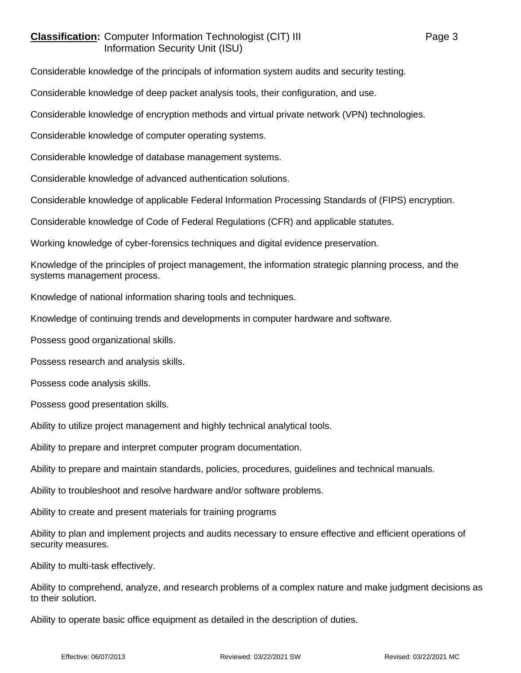## **Classification:** Computer Information Technologist (CIT) III Page 3 Information Security Unit (ISU)

Considerable knowledge of the principals of information system audits and security testing.

Considerable knowledge of deep packet analysis tools, their configuration, and use.

Considerable knowledge of encryption methods and virtual private network (VPN) technologies.

Considerable knowledge of computer operating systems.

Considerable knowledge of database management systems.

Considerable knowledge of advanced authentication solutions.

Considerable knowledge of applicable Federal Information Processing Standards of (FIPS) encryption.

Considerable knowledge of Code of Federal Regulations (CFR) and applicable statutes.

Working knowledge of cyber-forensics techniques and digital evidence preservation.

Knowledge of the principles of project management, the information strategic planning process, and the systems management process.

Knowledge of national information sharing tools and techniques.

Knowledge of continuing trends and developments in computer hardware and software.

Possess good organizational skills.

Possess research and analysis skills.

Possess code analysis skills.

Possess good presentation skills.

Ability to utilize project management and highly technical analytical tools.

Ability to prepare and interpret computer program documentation.

Ability to prepare and maintain standards, policies, procedures, guidelines and technical manuals.

Ability to troubleshoot and resolve hardware and/or software problems.

Ability to create and present materials for training programs

Ability to plan and implement projects and audits necessary to ensure effective and efficient operations of security measures.

Ability to multi-task effectively.

Ability to comprehend, analyze, and research problems of a complex nature and make judgment decisions as to their solution.

Ability to operate basic office equipment as detailed in the description of duties.